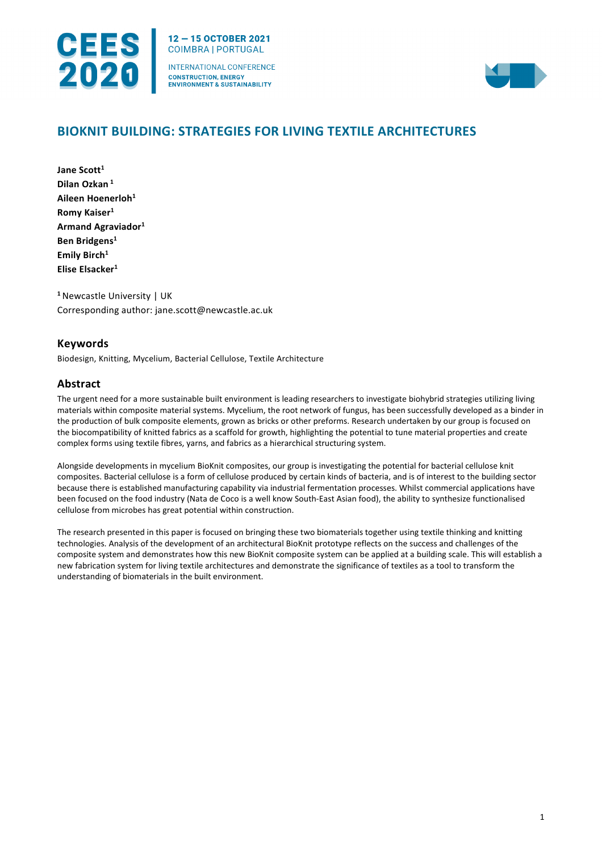

12-15 OCTOBER 2021 **COIMBRA | PORTUGAL** 

INTERNATIONAL CONFERENCE **CONSTRUCTION, ENERGY ENVIRONMENT & SUSTAINABILITY** 



# **BIOKNIT BUILDING: STRATEGIES FOR LIVING TEXTILE ARCHITECTURES**

Jane Scott<sup>1</sup> **Dilan Ozkan <sup>1</sup> Aileen Hoenerloh1 Romy Kaiser1 Armand Agraviador1 Ben Bridgens1** Emily Birch<sup>1</sup> **Elise Elsacker1**

**<sup>1</sup>** Newcastle University | UK Corresponding author: jane.scott@newcastle.ac.uk

## **Keywords**

Biodesign, Knitting, Mycelium, Bacterial Cellulose, Textile Architecture

## **Abstract**

The urgent need for a more sustainable built environment is leading researchers to investigate biohybrid strategies utilizing living materials within composite material systems. Mycelium, the root network of fungus, has been successfully developed as a binder in the production of bulk composite elements, grown as bricks or other preforms. Research undertaken by our group is focused on the biocompatibility of knitted fabrics as a scaffold for growth, highlighting the potential to tune material properties and create complex forms using textile fibres, yarns, and fabrics as a hierarchical structuring system.

Alongside developments in mycelium BioKnit composites, our group is investigating the potential for bacterial cellulose knit composites. Bacterial cellulose is a form of cellulose produced by certain kinds of bacteria, and is of interest to the building sector because there is established manufacturing capability via industrial fermentation processes. Whilst commercial applications have been focused on the food industry (Nata de Coco is a well know South-East Asian food), the ability to synthesize functionalised cellulose from microbes has great potential within construction.

The research presented in this paper is focused on bringing these two biomaterials together using textile thinking and knitting technologies. Analysis of the development of an architectural BioKnit prototype reflects on the success and challenges of the composite system and demonstrates how this new BioKnit composite system can be applied at a building scale. This will establish a new fabrication system for living textile architectures and demonstrate the significance of textiles as a tool to transform the understanding of biomaterials in the built environment.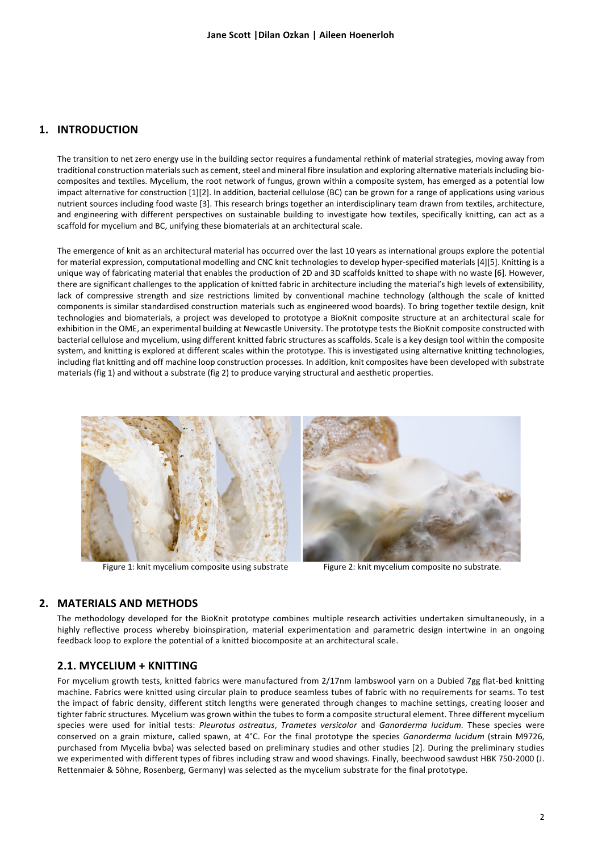### **1. INTRODUCTION**

The transition to net zero energy use in the building sector requires a fundamental rethink of material strategies, moving away from traditional construction materials such as cement, steel and mineral fibre insulation and exploring alternative materials including biocomposites and textiles. Mycelium, the root network of fungus, grown within a composite system, has emerged as a potential low impact alternative for construction [1][2]. In addition, bacterial cellulose (BC) can be grown for a range of applications using various nutrient sources including food waste [3]. This research brings together an interdisciplinary team drawn from textiles, architecture, and engineering with different perspectives on sustainable building to investigate how textiles, specifically knitting, can act as a scaffold for mycelium and BC, unifying these biomaterials at an architectural scale.

The emergence of knit as an architectural material has occurred over the last 10 years as international groups explore the potential for material expression, computational modelling and CNC knit technologies to develop hyper-specified materials [4][5]. Knitting is a unique way of fabricating material that enables the production of 2D and 3D scaffolds knitted to shape with no waste [6]. However, there are significant challenges to the application of knitted fabric in architecture including the material's high levels of extensibility, lack of compressive strength and size restrictions limited by conventional machine technology (although the scale of knitted components is similar standardised construction materials such as engineered wood boards). To bring together textile design, knit technologies and biomaterials, a project was developed to prototype a BioKnit composite structure at an architectural scale for exhibition in the OME, an experimental building at Newcastle University. The prototype tests the BioKnit composite constructed with bacterial cellulose and mycelium, using different knitted fabric structures as scaffolds. Scale is a key design tool within the composite system, and knitting is explored at different scales within the prototype. This is investigated using alternative knitting technologies, including flat knitting and off machine loop construction processes. In addition, knit composites have been developed with substrate materials (fig 1) and without a substrate (fig 2) to produce varying structural and aesthetic properties.



Figure 1: knit mycelium composite using substrate Figure 2: knit mycelium composite no substrate.

### **2. MATERIALS AND METHODS**

The methodology developed for the BioKnit prototype combines multiple research activities undertaken simultaneously, in a highly reflective process whereby bioinspiration, material experimentation and parametric design intertwine in an ongoing feedback loop to explore the potential of a knitted biocomposite at an architectural scale.

#### **2.1. MYCELIUM + KNITTING**

For mycelium growth tests, knitted fabrics were manufactured from 2/17nm lambswool yarn on a Dubied 7gg flat-bed knitting machine. Fabrics were knitted using circular plain to produce seamless tubes of fabric with no requirements for seams. To test the impact of fabric density, different stitch lengths were generated through changes to machine settings, creating looser and tighter fabric structures. Mycelium was grown within the tubes to form a composite structural element. Three different mycelium species were used for initial tests: *Pleurotus ostreatus*, *Trametes versicolor* and *Ganorderma lucidum.* These species were conserved on a grain mixture, called spawn, at 4°C. For the final prototype the species *Ganorderma lucidum* (strain M9726, purchased from Mycelia bvba) was selected based on preliminary studies and other studies [2]. During the preliminary studies we experimented with different types of fibres including straw and wood shavings. Finally, beechwood sawdust HBK 750-2000 (J. Rettenmaier & Söhne, Rosenberg, Germany) was selected as the mycelium substrate for the final prototype.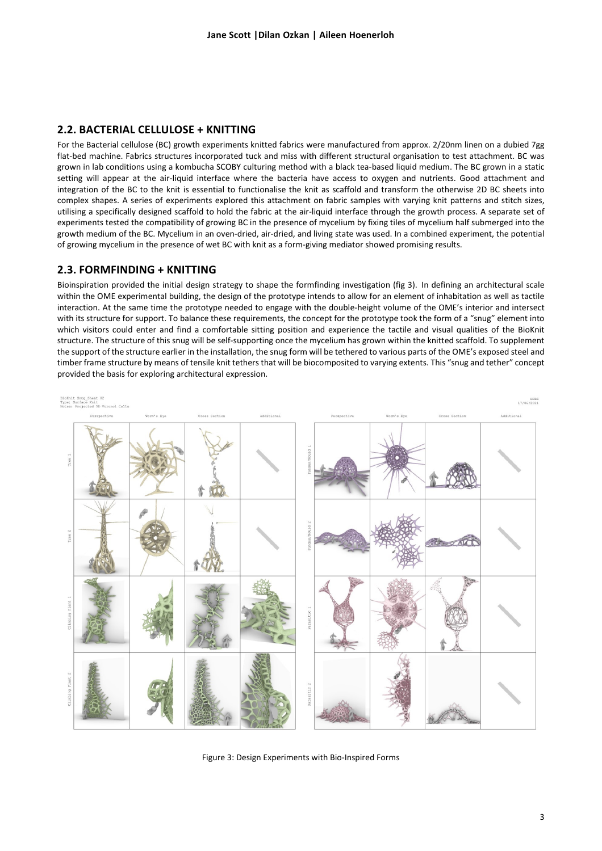#### **2.2. BACTERIAL CELLULOSE + KNITTING**

For the Bacterial cellulose (BC) growth experiments knitted fabrics were manufactured from approx. 2/20nm linen on a dubied 7gg flat-bed machine. Fabrics structures incorporated tuck and miss with different structural organisation to test attachment. BC was grown in lab conditions using a kombucha SCOBY culturing method with a black tea-based liquid medium. The BC grown in a static setting will appear at the air-liquid interface where the bacteria have access to oxygen and nutrients. Good attachment and integration of the BC to the knit is essential to functionalise the knit as scaffold and transform the otherwise 2D BC sheets into complex shapes. A series of experiments explored this attachment on fabric samples with varying knit patterns and stitch sizes, utilising a specifically designed scaffold to hold the fabric at the air-liquid interface through the growth process. A separate set of experiments tested the compatibility of growing BC in the presence of mycelium by fixing tiles of mycelium half submerged into the growth medium of the BC. Mycelium in an oven-dried, air-dried, and living state was used. In a combined experiment, the potential of growing mycelium in the presence of wet BC with knit as a form-giving mediator showed promising results.

#### **2.3. FORMFINDING + KNITTING**

Bioinspiration provided the initial design strategy to shape the formfinding investigation (fig 3). In defining an architectural scale within the OME experimental building, the design of the prototype intends to allow for an element of inhabitation as well as tactile interaction. At the same time the prototype needed to engage with the double-height volume of the OME's interior and intersect with its structure for support. To balance these requirements, the concept for the prototype took the form of a "snug" element into which visitors could enter and find a comfortable sitting position and experience the tactile and visual qualities of the BioKnit structure. The structure of this snug will be self-supporting once the mycelium has grown within the knitted scaffold. To supplement the support of the structure earlier in the installation, the snug form will be tethered to various parts of the OME's exposed steel and timber frame structure by means of tensile knit tethers that will be biocomposited to varying extents. This "snug and tether" concept provided the basis for exploring architectural expression.



Figure 3: Design Experiments with Bio-Inspired Forms